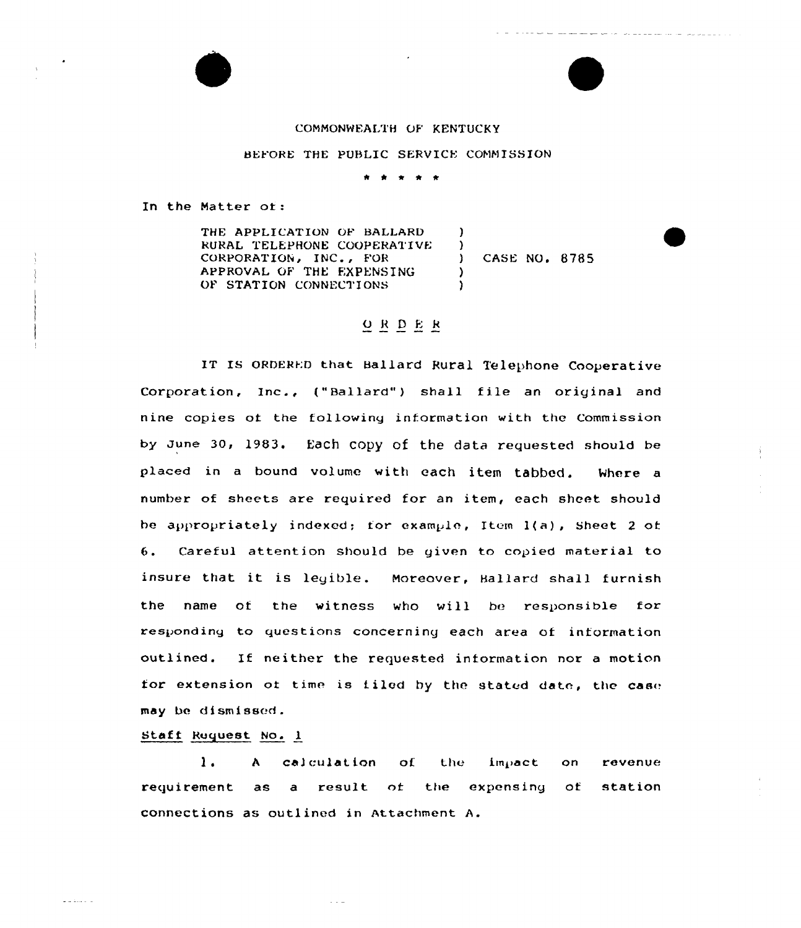#### COMMONWEALTH OF KENTUCKY

#### HEYORE THE PUBLIC SERVICE CONNISSION

)  $\left\{ \begin{array}{c} 1 \ 1 \end{array} \right.$ 

)

In the Natter at:

THE APPLICATION OF BALLARD RURAL I'ELEPHONE COOPERATIVE CORPORATION, INC., FOR APPROVAL OF THE EXPENSING OP STATION CONNECTIONS

) CASE NO. 8785

والمتواصل المواجب والانتقال

### ORDER

IT IS ORDERED that Ballard Rural Telephone Cooperative Corporation, Inc., ("Ballard") shall file an original and nine copies at the following infarmatian with the Commission by June 30, 1983. Each Copy of the data requested should be placed in a bound valume with each item tabbed. Nhere a number of sheets are required for an item, each sheet should he appropriately indexed; for example, Item  $l(a)$ , Sheet 2 of 6. Careful attention should be given to copied material ta insure that it is legible. Noreaver, Hallard shall furnish the name of the witness who will be responsible for responding to questions concerning each area of information outlined. If neither the requested information nor <sup>a</sup> motion for extension of time is filed by the stated date, the case may be di smi ssed .

#### Staff Ruquest No. 1

 $\omega$  in derivative  $\omega$ 

1. A calculation of the impact on revenue requirement as a result of the expensing of station connections as outlined in Attachment A.

ما با با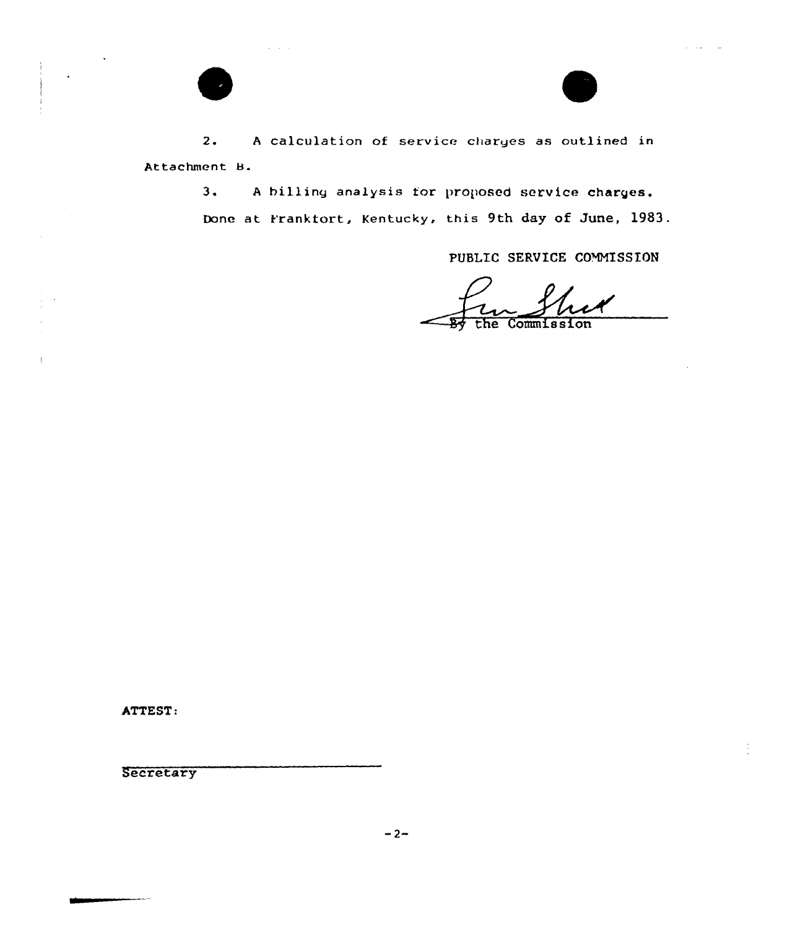$\Delta \sim 10^{-1}$  k

2. <sup>A</sup> calculation of service charges as outlined in Attachment B.

> 3. <sup>A</sup> billing analysis for proposed service charges. Done at Franktort, Kentucky, this 9th day of June, 1983.

> > PUBLIC SERVICE COMMISSION

Commission the

ATTEST:

 $\parallel$ 

**Secretary**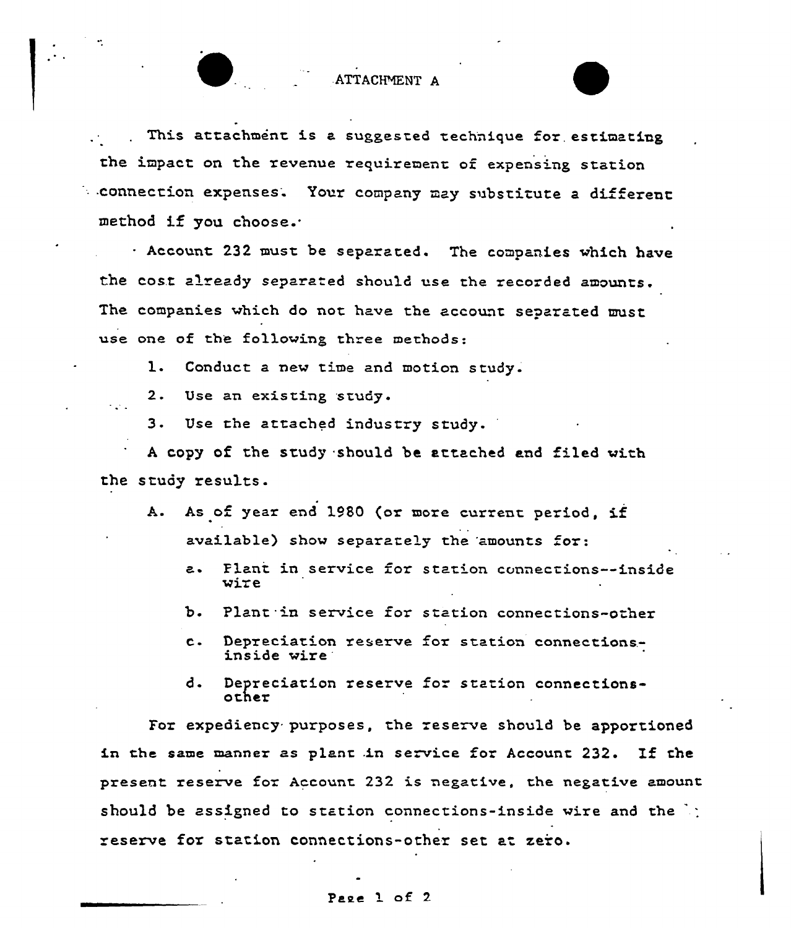ATTACHMENT A

This attachment is a suggested technique for estimating the impact on the revenue requirement of expensing station . connection expenses. Your company may substitute a different method if you choose..

Account 232 must be separated. The companies which have the cost already separated should use the recorded amounts. The companies which do not have the account separated must use one of the following three methods:

1. Conduct a new time and motion study.

 $2.$ Use an existing study.

 $3.$ Use the attached industry study.

<sup>A</sup> copy of the study should be attached and filed with the study results.

- A. As of year end 1980 (or more current period, if available) show separately the 'amounts for:
	- a. Plani in service for station connections--inside wire
	- b. Plant in service for station connections-other
	- c. Depreciation reserve for <sup>s</sup> tation connections. inside wire
	- d. Depreciation reserve for station connectionsother

For expediency purposes, the reserve should be apportioned in the same manner as plant in service for Account 232. If the present reserve for Account 232 is negative, the negative amount should be assigned to station connections-inside wire and the  $\cdot$ : reserve for station connections-other set at zero.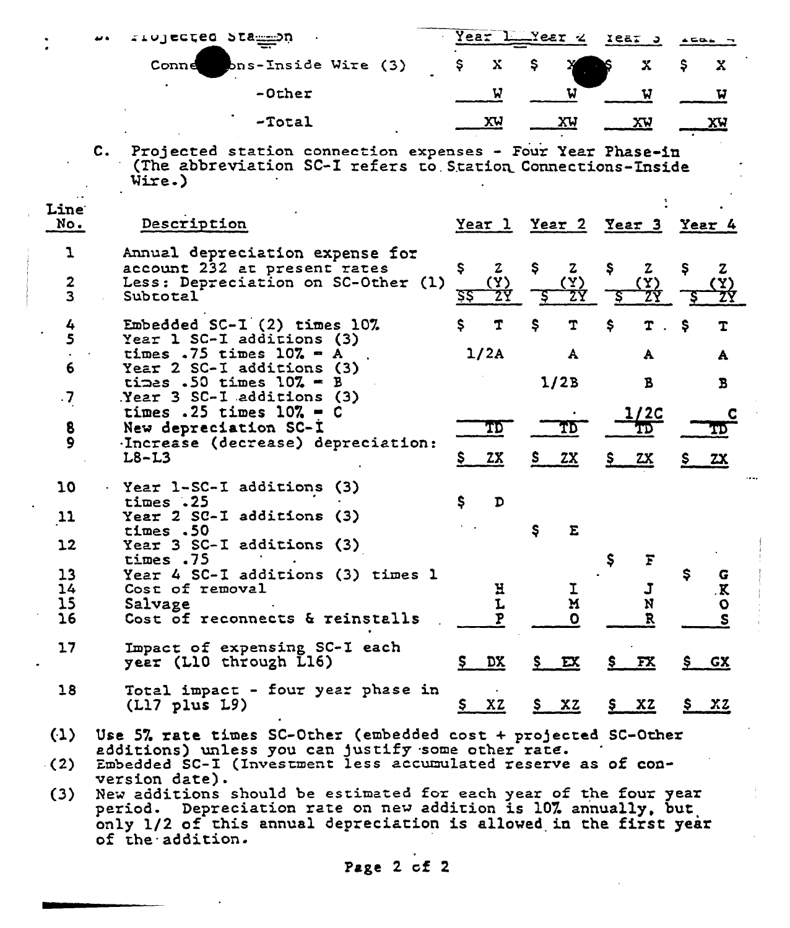|                                   |            | riolected Stammon                                                                                                                                                                                                           | Year     |                                  |     | Yeer 4                             |             | Iear J                             | $\triangle G \triangle F$ |                                  |
|-----------------------------------|------------|-----------------------------------------------------------------------------------------------------------------------------------------------------------------------------------------------------------------------------|----------|----------------------------------|-----|------------------------------------|-------------|------------------------------------|---------------------------|----------------------------------|
|                                   |            | Conne bns-Inside Wire (3)                                                                                                                                                                                                   | Ş.       | х                                | \$. |                                    |             | X.                                 | Ş.                        | X                                |
|                                   |            | -Other                                                                                                                                                                                                                      |          | W                                |     | W                                  |             | W                                  |                           | W                                |
|                                   |            | $-Total$                                                                                                                                                                                                                    |          | <u>xu</u>                        |     | <u>xu</u>                          |             | <u>XV</u>                          |                           | XW                               |
|                                   | $c_{\ast}$ | Projected station connection expenses - Four Year Phase-in<br>(The abbreviation SC-I refers to Station Connections-Inside<br>Wire.)                                                                                         |          |                                  |     |                                    |             |                                    |                           |                                  |
| <b>Line</b><br>No.                |            | Description                                                                                                                                                                                                                 |          |                                  |     | <u>Year 1 Year 2 Year 3 Year 4</u> |             |                                    |                           |                                  |
| ı<br>2<br>$\overline{\mathbf{3}}$ |            | Annual depreciation expense for<br>account 232 at present rates<br>Less: Depreciation on SC-Other (1)<br>Subtotal                                                                                                           | Ş.<br>इइ | $\boldsymbol{z}$<br>$(\Upsilon)$ | Ş.  | $\mathbf{z}$<br>(Y)<br><u>27</u>   | Ş.          | $\mathbf{z}$                       | Ş                         | $\mathbf{z}$                     |
| 4<br>5                            |            | Embedded $SC-I$ $(2)$ times $10\%$<br>Year 1 SC-I additions (3)<br>times .75 times $10\% - A$                                                                                                                               | s        | T<br>1/2A                        | Ş   | T<br>A                             | \$          | A                                  | \$.                       | т<br>A                           |
| 6<br>$\cdot$                      |            | Year 2 SC-I additions (3)<br>times .50 times $10\% = B$<br>$Near$ 3 SC-I additions (3)                                                                                                                                      |          |                                  |     | 1/2B                               |             | В                                  |                           | B                                |
| 8<br>$\mathbf{9}$                 |            | times .25 times $10\%$ = C<br>New depreciation SC-I<br>Increase (decrease) depreciation:                                                                                                                                    |          | TD.                              |     | TD                                 |             | 1/2C<br>TD                         |                           |                                  |
|                                   |            | $L8-L3$                                                                                                                                                                                                                     | \$__     | 2x                               | S., | <u>2X</u>                          | <u>s _</u>  | <u>zx</u>                          | Ş.                        | <u>zx</u>                        |
| 10                                |            | · Year 1-SC-I additions (3)<br>times.25                                                                                                                                                                                     | \$       | D                                |     |                                    |             |                                    |                           |                                  |
| $\mathbf{11}$                     |            | Year 2 SC-I additions (3)<br>times.50                                                                                                                                                                                       |          |                                  | \$. | E                                  |             |                                    |                           |                                  |
| 12                                |            | Year 3 SC-I additions (3)<br>times .75                                                                                                                                                                                      |          |                                  |     |                                    | S           |                                    |                           |                                  |
| 13<br>14<br>15<br>16              |            | Year 4 SC-I additions (3) times 1<br>Cost of removal<br>Salvage<br>Cost of reconnects & reinstalls                                                                                                                          |          | H<br>L                           |     | M<br>$\mathbf{O}$                  |             | $\overline{\phantom{a}}$<br>N<br>R | s                         | G<br>$\sim$<br>$\mathbf{o}$<br>S |
| 17                                |            | Impact of expensing SC-I each<br>year (L10 through L16)                                                                                                                                                                     | $S_{-}$  | $\overline{DX}$                  |     | $S$ $EX$                           |             | $S$ $FX$                           |                           | <u>S GX</u>                      |
| 18                                |            | Total impact - four year phase in<br>$(L17$ plus $L9$ )                                                                                                                                                                     | Ş,       | XZ                               |     | $S$ XZ                             | $S_{\perp}$ | <u>xz</u>                          |                           | <u>5 xz</u>                      |
| (1)                               |            | Use 5% rate times SC-Other (embedded cost + projected SC-Other<br>additions) unless you can justify some other rate.                                                                                                        |          |                                  |     |                                    |             |                                    |                           |                                  |
| (2)                               |            | Embedded SC-I (Investment less accumulated reserve as of con-<br>version date).                                                                                                                                             |          |                                  |     |                                    |             |                                    |                           |                                  |
| (3)                               |            | New additions should be estimated for each year of the four year<br>period. Depreciation rate on new addition is 10% annually, but<br>only 1/2 of this annual depreciation is allowed in the first year<br>of the saaition. |          |                                  |     |                                    |             |                                    |                           |                                  |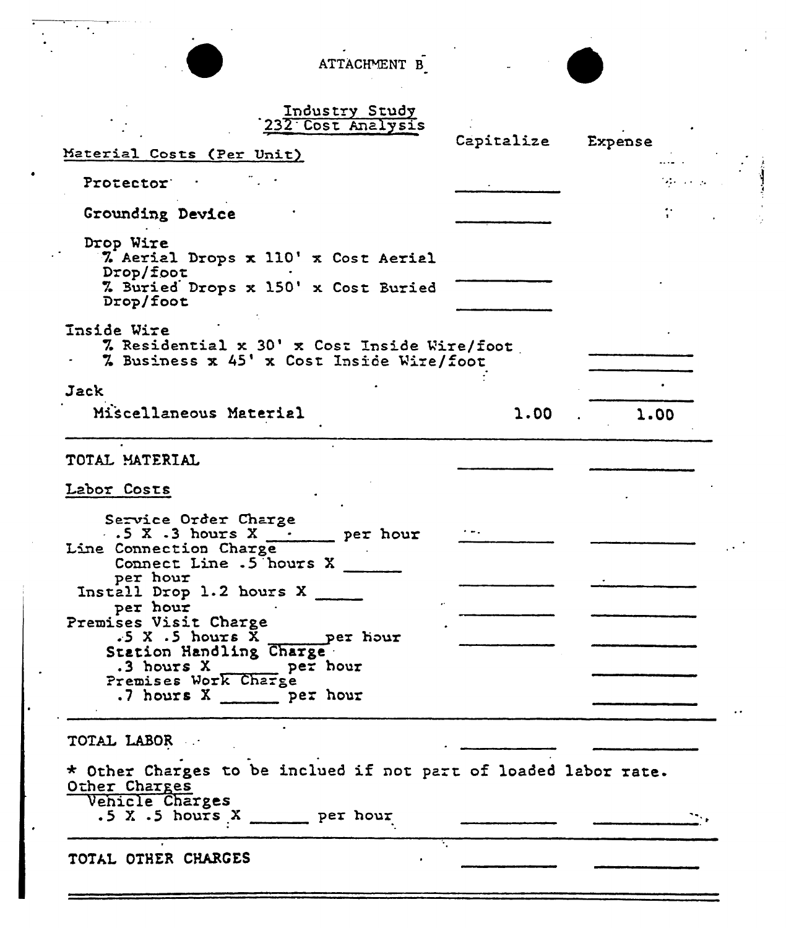ATTACHMENT B



|  |  |  | Industry Study    |  |  |
|--|--|--|-------------------|--|--|
|  |  |  | 232 Cost Analysis |  |  |

 $\ddot{\phantom{0}}$ 

| Material Costs (Per Unit)                                                                                                                                                             | Capitalize | Expense                                |  |
|---------------------------------------------------------------------------------------------------------------------------------------------------------------------------------------|------------|----------------------------------------|--|
| Protector :                                                                                                                                                                           |            | $\mathcal{A}$ is a set $\mathcal{A}$ . |  |
| Grounding Device                                                                                                                                                                      |            |                                        |  |
| Drop Wire<br>% Aerial Drops x 110' x Cost Aerial<br>Drop/foot                                                                                                                         |            |                                        |  |
| 7. Buried Drops x 150' x Cost Buried<br>Drop/foot                                                                                                                                     |            |                                        |  |
| <b>Inside Wire</b><br>7. Residential x 30' x Cost Inside Wire/foot<br>% Business x 45' x Cost Inside Wire/foot                                                                        |            |                                        |  |
| Jack                                                                                                                                                                                  |            |                                        |  |
| Miscellaneous Material                                                                                                                                                                | 1.00       | 1.00                                   |  |
| TOTAL MATERIAL                                                                                                                                                                        |            |                                        |  |
| Labor Costs                                                                                                                                                                           |            |                                        |  |
| Service Order Charge<br>$\cdot$ 5 X $\cdot$ 3 hours X $\frac{\cdot}{\cdot}$ per hour<br>Line Connection Charge<br>Connect Line .5 hours X<br>per hour<br>Install Drop $1.2$ hours $X$ |            |                                        |  |
| per hour<br>Premises Visit Charge<br>$.5 X .5$ hours X<br>per hour                                                                                                                    |            |                                        |  |
| Station Handling Charge<br>.3 hours X _____ per hour<br>Premises Work Charge<br>.7 hours X ______ per hour                                                                            |            |                                        |  |
| TOTAL LABOR                                                                                                                                                                           |            |                                        |  |
| * Other Charges to be inclued if not part of loaded labor rate.<br>Other Charges<br>Vehicle Charges<br>$.5 X .5$ hours $X$ ________ per hour                                          |            |                                        |  |
| TOTAL OTHER CHARGES                                                                                                                                                                   |            |                                        |  |
|                                                                                                                                                                                       |            |                                        |  |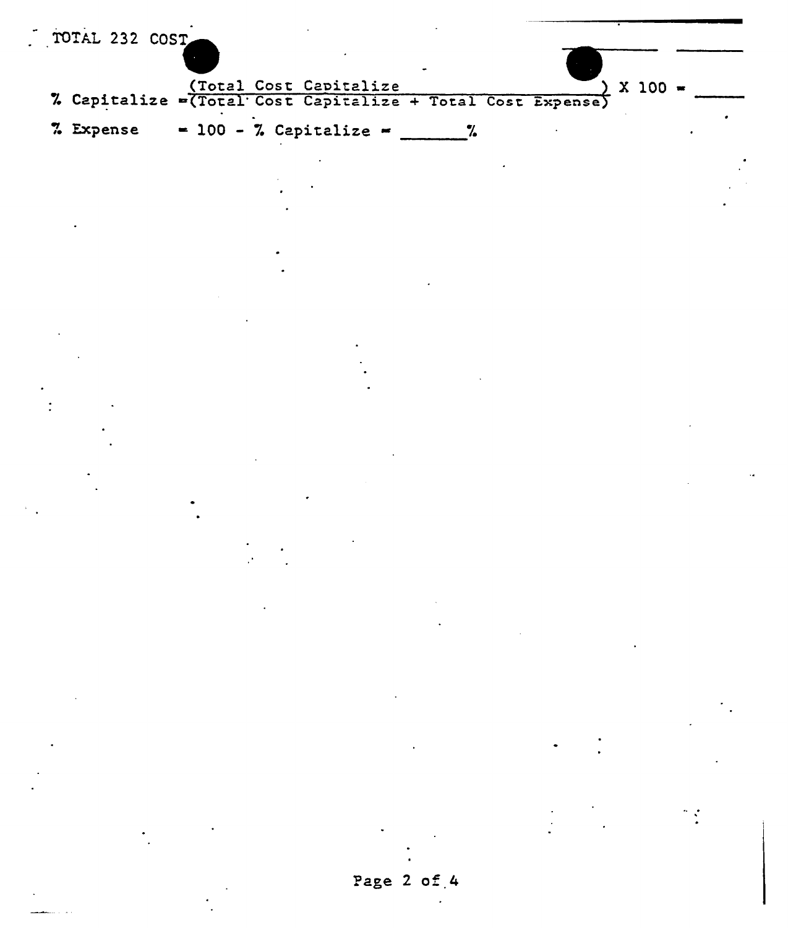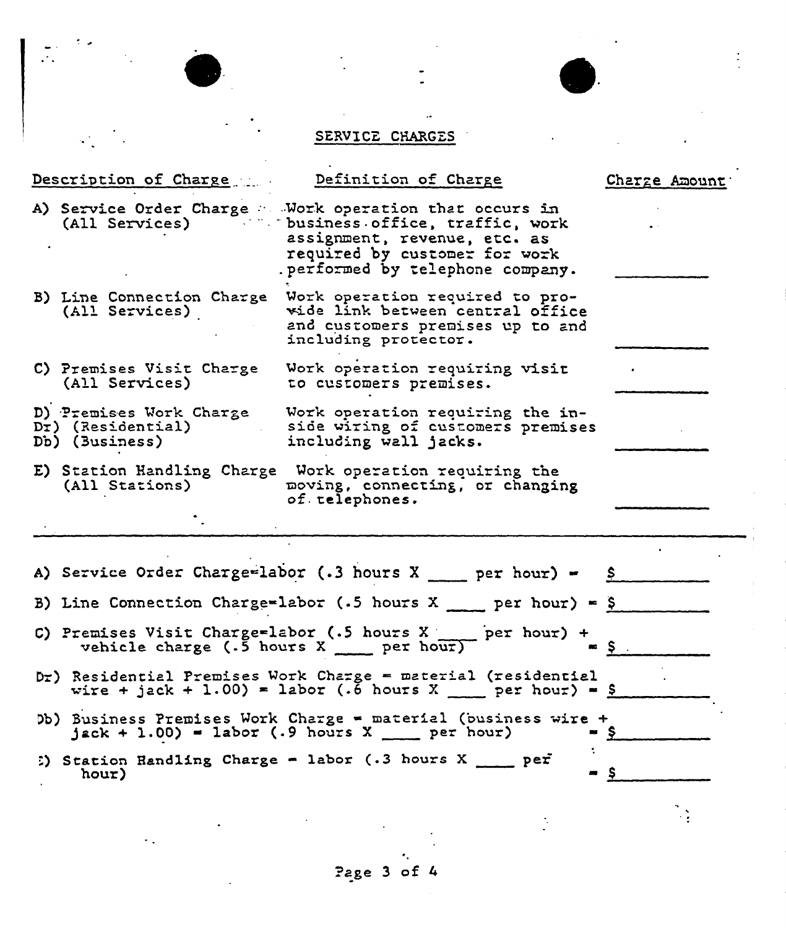# SERVICE CHARGES

 $\ddot{\cdot}$ 

|                                                                                                                                       |                                                                  | Description of Charge  Definition of Charge                                                                                                                                                                    | Charge Amount |  |  |  |  |  |  |
|---------------------------------------------------------------------------------------------------------------------------------------|------------------------------------------------------------------|----------------------------------------------------------------------------------------------------------------------------------------------------------------------------------------------------------------|---------------|--|--|--|--|--|--|
|                                                                                                                                       |                                                                  | A) Service Order Charge : Work operation that occurs in<br>(All Services) business office, traffic, work<br>assignment, revenue, etc. as<br>required by customer for work<br>. performed by telephone company. |               |  |  |  |  |  |  |
|                                                                                                                                       | (All Services)                                                   | B) Line Connection Charge Work operation required to pro-<br>wide link between central office<br>and customers premises up to and<br>including protector.                                                      |               |  |  |  |  |  |  |
|                                                                                                                                       | (All Services)                                                   | C) Premises Visit Charge Work operation requiring visit<br>to customers premises.                                                                                                                              |               |  |  |  |  |  |  |
|                                                                                                                                       | D) Premises Work Charge<br>Dr) (Residential)<br>Db) (Business)   | Work operation requiring the in-<br>side wiring of customers premises<br>including wall jacks.                                                                                                                 |               |  |  |  |  |  |  |
|                                                                                                                                       | (All Stations)                                                   | E) Station Handling Charge Work operation requiring the<br>moving, connecting, or changing<br>of. telephones.                                                                                                  |               |  |  |  |  |  |  |
|                                                                                                                                       |                                                                  | A) Service Order Charge=labor (.3 hours $X$ ____ per hour) = $S$                                                                                                                                               |               |  |  |  |  |  |  |
|                                                                                                                                       | B) Line Connection Charge=labor (.5 hours X ___ per hour) = $\S$ |                                                                                                                                                                                                                |               |  |  |  |  |  |  |
| C) Premises Visit Charge=labor (.5 hours $X$ - per hour) + vehicle charge (.5 hours $X$ - per hour)<br>$\approx$ S                    |                                                                  |                                                                                                                                                                                                                |               |  |  |  |  |  |  |
| Dr) Residential Premises Work Charge = material (residential<br>wire + jack + 1.00) = labor (.6 hours X ___ per hour) = $\frac{1}{5}$ |                                                                  |                                                                                                                                                                                                                |               |  |  |  |  |  |  |
|                                                                                                                                       |                                                                  | Db) Business Premises Work Charge = material (business wire +<br>$jack + 1.00$ = labor (.9 hours X ___ per hour)                                                                                               |               |  |  |  |  |  |  |
|                                                                                                                                       | hour)                                                            | :) Station Handling Charge - labor (.3 hours $X = per$<br>-                                                                                                                                                    | \$            |  |  |  |  |  |  |
|                                                                                                                                       |                                                                  |                                                                                                                                                                                                                |               |  |  |  |  |  |  |

 $\frac{1}{2}$